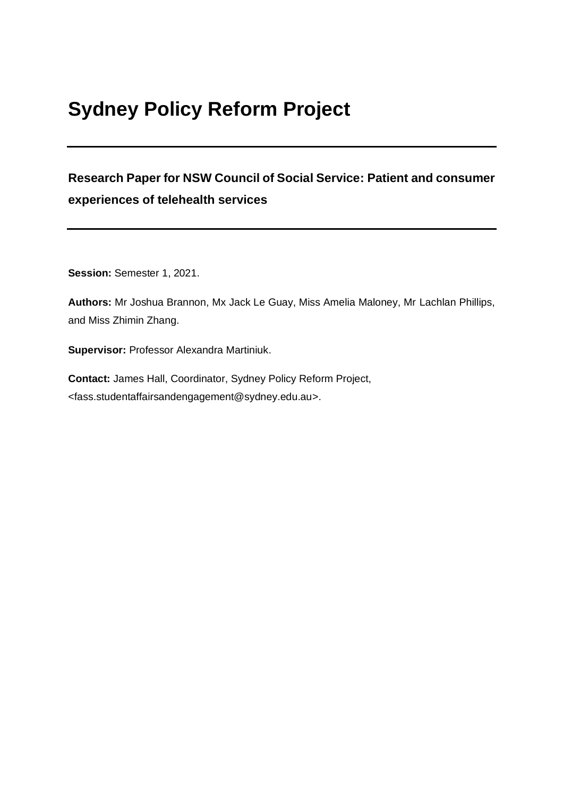# **Sydney Policy Reform Project**

## **Research Paper for NSW Council of Social Service: Patient and consumer experiences of telehealth services**

**Session:** Semester 1, 2021.

**Authors:** Mr Joshua Brannon, Mx Jack Le Guay, Miss Amelia Maloney, Mr Lachlan Phillips, and Miss Zhimin Zhang.

**Supervisor:** Professor Alexandra Martiniuk.

**Contact:** James Hall, Coordinator, Sydney Policy Reform Project, <fass.studentaffairsandengagement@sydney.edu.au>.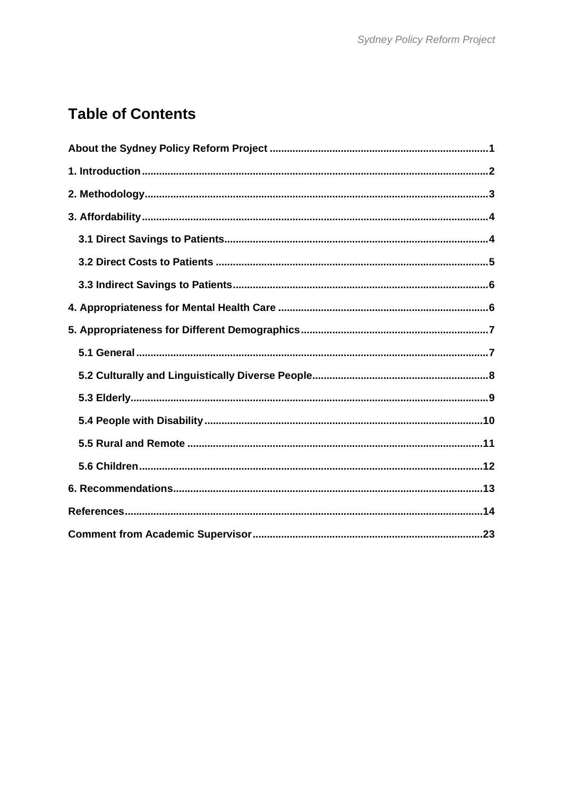## **Table of Contents**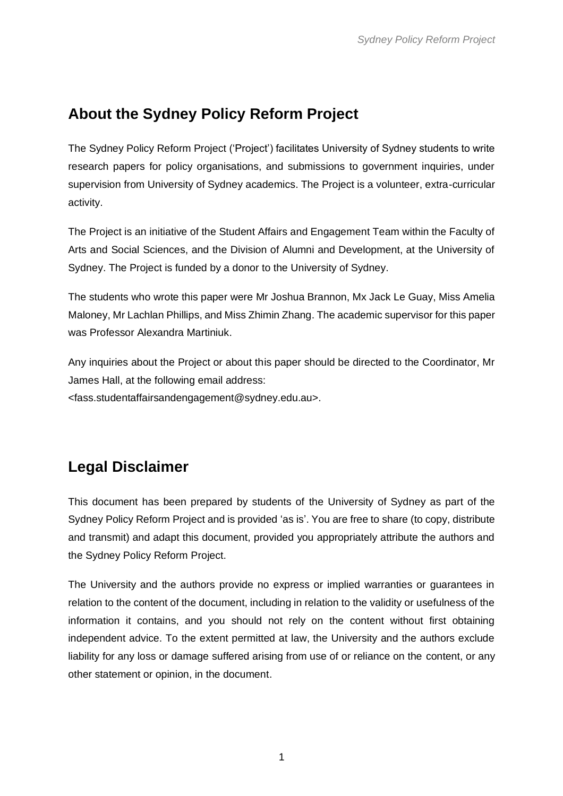### <span id="page-2-0"></span>**About the Sydney Policy Reform Project**

The Sydney Policy Reform Project ('Project') facilitates University of Sydney students to write research papers for policy organisations, and submissions to government inquiries, under supervision from University of Sydney academics. The Project is a volunteer, extra-curricular activity.

The Project is an initiative of the Student Affairs and Engagement Team within the Faculty of Arts and Social Sciences, and the Division of Alumni and Development, at the University of Sydney. The Project is funded by a donor to the University of Sydney.

The students who wrote this paper were Mr Joshua Brannon, Mx Jack Le Guay, Miss Amelia Maloney, Mr Lachlan Phillips, and Miss Zhimin Zhang. The academic supervisor for this paper was Professor Alexandra Martiniuk.

Any inquiries about the Project or about this paper should be directed to the Coordinator, Mr James Hall, at the following email address:

<fass.studentaffairsandengagement@sydney.edu.au>.

## **Legal Disclaimer**

This document has been prepared by students of the University of Sydney as part of the Sydney Policy Reform Project and is provided 'as is'. You are free to share (to copy, distribute and transmit) and adapt this document, provided you appropriately attribute the authors and the Sydney Policy Reform Project.

The University and the authors provide no express or implied warranties or guarantees in relation to the content of the document, including in relation to the validity or usefulness of the information it contains, and you should not rely on the content without first obtaining independent advice. To the extent permitted at law, the University and the authors exclude liability for any loss or damage suffered arising from use of or reliance on the content, or any other statement or opinion, in the document.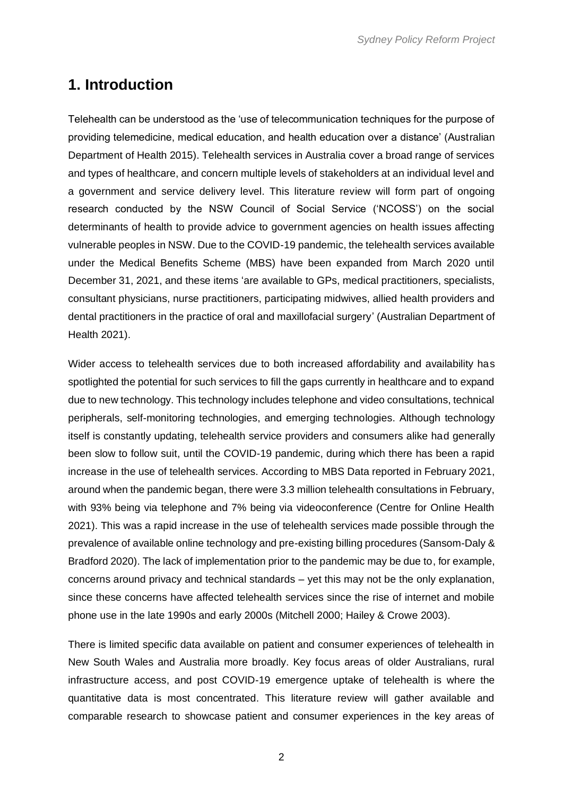### <span id="page-3-0"></span>**1. Introduction**

Telehealth can be understood as the 'use of telecommunication techniques for the purpose of providing telemedicine, medical education, and health education over a distance' (Australian Department of Health 2015). Telehealth services in Australia cover a broad range of services and types of healthcare, and concern multiple levels of stakeholders at an individual level and a government and service delivery level. This literature review will form part of ongoing research conducted by the NSW Council of Social Service ('NCOSS') on the social determinants of health to provide advice to government agencies on health issues affecting vulnerable peoples in NSW. Due to the COVID-19 pandemic, the telehealth services available under the Medical Benefits Scheme (MBS) have been expanded from March 2020 until December 31, 2021, and these items 'are available to GPs, medical practitioners, specialists, consultant physicians, nurse practitioners, participating midwives, allied health providers and dental practitioners in the practice of oral and maxillofacial surgery' (Australian Department of Health 2021).

Wider access to telehealth services due to both increased affordability and availability has spotlighted the potential for such services to fill the gaps currently in healthcare and to expand due to new technology. This technology includes telephone and video consultations, technical peripherals, self-monitoring technologies, and emerging technologies. Although technology itself is constantly updating, telehealth service providers and consumers alike had generally been slow to follow suit, until the COVID-19 pandemic, during which there has been a rapid increase in the use of telehealth services. According to MBS Data reported in February 2021, around when the pandemic began, there were 3.3 million telehealth consultations in February, with 93% being via telephone and 7% being via videoconference (Centre for Online Health 2021). This was a rapid increase in the use of telehealth services made possible through the prevalence of available online technology and pre-existing billing procedures (Sansom-Daly & Bradford 2020). The lack of implementation prior to the pandemic may be due to, for example, concerns around privacy and technical standards – yet this may not be the only explanation, since these concerns have affected telehealth services since the rise of internet and mobile phone use in the late 1990s and early 2000s (Mitchell 2000; Hailey & Crowe 2003).

There is limited specific data available on patient and consumer experiences of telehealth in New South Wales and Australia more broadly. Key focus areas of older Australians, rural infrastructure access, and post COVID-19 emergence uptake of telehealth is where the quantitative data is most concentrated. This literature review will gather available and comparable research to showcase patient and consumer experiences in the key areas of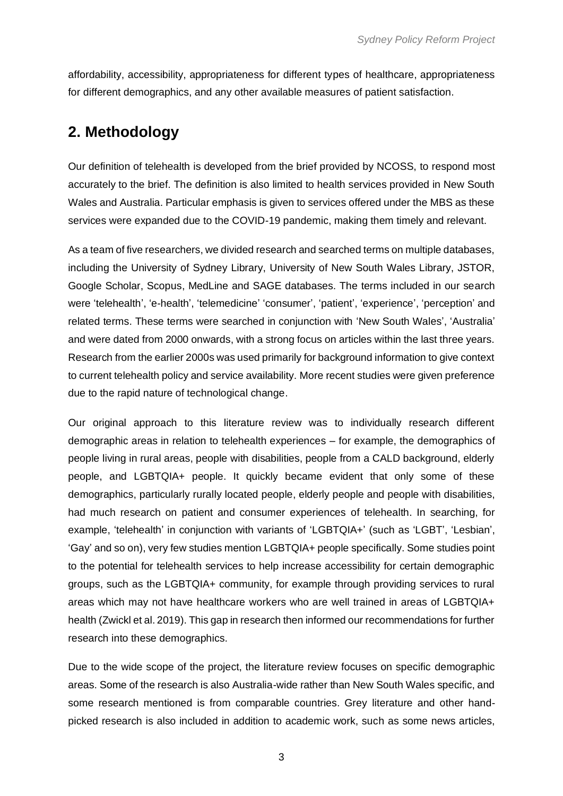affordability, accessibility, appropriateness for different types of healthcare, appropriateness for different demographics, and any other available measures of patient satisfaction.

### <span id="page-4-0"></span>**2. Methodology**

Our definition of telehealth is developed from the brief provided by NCOSS, to respond most accurately to the brief. The definition is also limited to health services provided in New South Wales and Australia. Particular emphasis is given to services offered under the MBS as these services were expanded due to the COVID-19 pandemic, making them timely and relevant.

As a team of five researchers, we divided research and searched terms on multiple databases, including the University of Sydney Library, University of New South Wales Library, JSTOR, Google Scholar, Scopus, MedLine and SAGE databases. The terms included in our search were 'telehealth', 'e-health', 'telemedicine' 'consumer', 'patient', 'experience', 'perception' and related terms. These terms were searched in conjunction with 'New South Wales', 'Australia' and were dated from 2000 onwards, with a strong focus on articles within the last three years. Research from the earlier 2000s was used primarily for background information to give context to current telehealth policy and service availability. More recent studies were given preference due to the rapid nature of technological change.

Our original approach to this literature review was to individually research different demographic areas in relation to telehealth experiences – for example, the demographics of people living in rural areas, people with disabilities, people from a CALD background, elderly people, and LGBTQIA+ people. It quickly became evident that only some of these demographics, particularly rurally located people, elderly people and people with disabilities, had much research on patient and consumer experiences of telehealth. In searching, for example, 'telehealth' in conjunction with variants of 'LGBTQIA+' (such as 'LGBT', 'Lesbian', 'Gay' and so on), very few studies mention LGBTQIA+ people specifically. Some studies point to the potential for telehealth services to help increase accessibility for certain demographic groups, such as the LGBTQIA+ community, for example through providing services to rural areas which may not have healthcare workers who are well trained in areas of LGBTQIA+ health (Zwickl et al. 2019). This gap in research then informed our recommendations for further research into these demographics.

Due to the wide scope of the project, the literature review focuses on specific demographic areas. Some of the research is also Australia-wide rather than New South Wales specific, and some research mentioned is from comparable countries. Grey literature and other handpicked research is also included in addition to academic work, such as some news articles,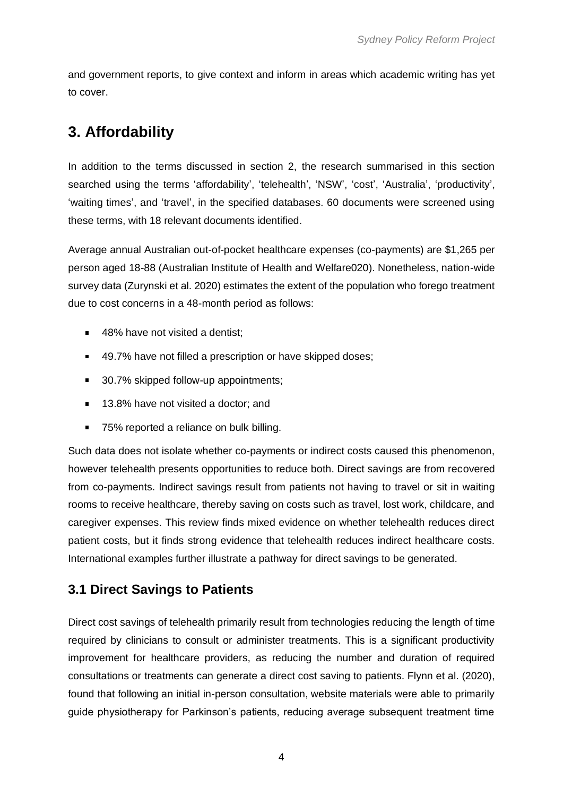and government reports, to give context and inform in areas which academic writing has yet to cover.

## <span id="page-5-0"></span>**3. Affordability**

In addition to the terms discussed in section 2, the research summarised in this section searched using the terms 'affordability', 'telehealth', 'NSW', 'cost', 'Australia', 'productivity', 'waiting times', and 'travel', in the specified databases. 60 documents were screened using these terms, with 18 relevant documents identified.

Average annual Australian out-of-pocket healthcare expenses (co-payments) are \$1,265 per person aged 18-88 (Australian Institute of Health and Welfare020). Nonetheless, nation-wide survey data (Zurynski et al. 2020) estimates the extent of the population who forego treatment due to cost concerns in a 48-month period as follows:

- 48% have not visited a dentist;
- 49.7% have not filled a prescription or have skipped doses;
- 30.7% skipped follow-up appointments:
- 13.8% have not visited a doctor; and  $\blacksquare$
- $\blacksquare$ 75% reported a reliance on bulk billing.

Such data does not isolate whether co-payments or indirect costs caused this phenomenon, however telehealth presents opportunities to reduce both. Direct savings are from recovered from co-payments. Indirect savings result from patients not having to travel or sit in waiting rooms to receive healthcare, thereby saving on costs such as travel, lost work, childcare, and caregiver expenses. This review finds mixed evidence on whether telehealth reduces direct patient costs, but it finds strong evidence that telehealth reduces indirect healthcare costs. International examples further illustrate a pathway for direct savings to be generated.

### <span id="page-5-1"></span>**3.1 Direct Savings to Patients**

Direct cost savings of telehealth primarily result from technologies reducing the length of time required by clinicians to consult or administer treatments. This is a significant productivity improvement for healthcare providers, as reducing the number and duration of required consultations or treatments can generate a direct cost saving to patients. Flynn et al. (2020), found that following an initial in-person consultation, website materials were able to primarily guide physiotherapy for Parkinson's patients, reducing average subsequent treatment time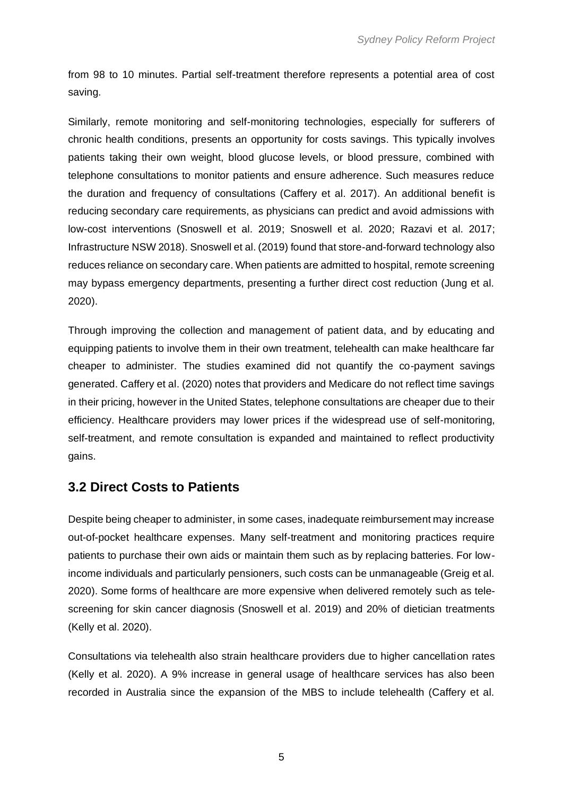from 98 to 10 minutes. Partial self-treatment therefore represents a potential area of cost saving.

Similarly, remote monitoring and self-monitoring technologies, especially for sufferers of chronic health conditions, presents an opportunity for costs savings. This typically involves patients taking their own weight, blood glucose levels, or blood pressure, combined with telephone consultations to monitor patients and ensure adherence. Such measures reduce the duration and frequency of consultations (Caffery et al. 2017). An additional benefit is reducing secondary care requirements, as physicians can predict and avoid admissions with low-cost interventions (Snoswell et al. 2019; Snoswell et al. 2020; Razavi et al. 2017; Infrastructure NSW 2018). Snoswell et al. (2019) found that store-and-forward technology also reduces reliance on secondary care. When patients are admitted to hospital, remote screening may bypass emergency departments, presenting a further direct cost reduction (Jung et al. 2020).

Through improving the collection and management of patient data, and by educating and equipping patients to involve them in their own treatment, telehealth can make healthcare far cheaper to administer. The studies examined did not quantify the co-payment savings generated. Caffery et al. (2020) notes that providers and Medicare do not reflect time savings in their pricing, however in the United States, telephone consultations are cheaper due to their efficiency. Healthcare providers may lower prices if the widespread use of self-monitoring, self-treatment, and remote consultation is expanded and maintained to reflect productivity gains.

#### <span id="page-6-0"></span>**3.2 Direct Costs to Patients**

Despite being cheaper to administer, in some cases, inadequate reimbursement may increase out-of-pocket healthcare expenses. Many self-treatment and monitoring practices require patients to purchase their own aids or maintain them such as by replacing batteries. For lowincome individuals and particularly pensioners, such costs can be unmanageable (Greig et al. 2020). Some forms of healthcare are more expensive when delivered remotely such as telescreening for skin cancer diagnosis (Snoswell et al. 2019) and 20% of dietician treatments (Kelly et al. 2020).

Consultations via telehealth also strain healthcare providers due to higher cancellation rates (Kelly et al. 2020). A 9% increase in general usage of healthcare services has also been recorded in Australia since the expansion of the MBS to include telehealth (Caffery et al.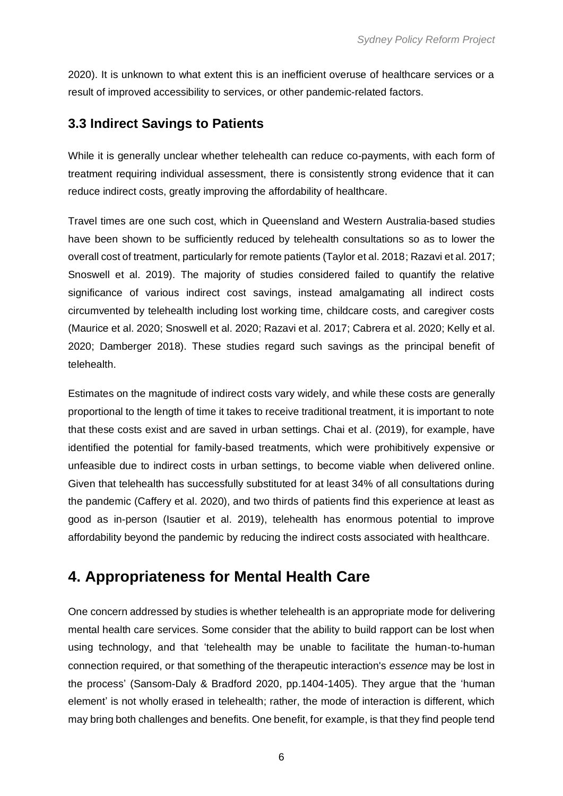2020). It is unknown to what extent this is an inefficient overuse of healthcare services or a result of improved accessibility to services, or other pandemic-related factors.

#### <span id="page-7-0"></span>**3.3 Indirect Savings to Patients**

While it is generally unclear whether telehealth can reduce co-payments, with each form of treatment requiring individual assessment, there is consistently strong evidence that it can reduce indirect costs, greatly improving the affordability of healthcare.

Travel times are one such cost, which in Queensland and Western Australia-based studies have been shown to be sufficiently reduced by telehealth consultations so as to lower the overall cost of treatment, particularly for remote patients (Taylor et al. 2018; Razavi et al. 2017; Snoswell et al. 2019). The majority of studies considered failed to quantify the relative significance of various indirect cost savings, instead amalgamating all indirect costs circumvented by telehealth including lost working time, childcare costs, and caregiver costs (Maurice et al. 2020; Snoswell et al. 2020; Razavi et al. 2017; Cabrera et al. 2020; Kelly et al. 2020; Damberger 2018). These studies regard such savings as the principal benefit of telehealth.

Estimates on the magnitude of indirect costs vary widely, and while these costs are generally proportional to the length of time it takes to receive traditional treatment, it is important to note that these costs exist and are saved in urban settings. Chai et al. (2019), for example, have identified the potential for family-based treatments, which were prohibitively expensive or unfeasible due to indirect costs in urban settings, to become viable when delivered online. Given that telehealth has successfully substituted for at least 34% of all consultations during the pandemic (Caffery et al. 2020), and two thirds of patients find this experience at least as good as in-person (Isautier et al. 2019), telehealth has enormous potential to improve affordability beyond the pandemic by reducing the indirect costs associated with healthcare.

## <span id="page-7-1"></span>**4. Appropriateness for Mental Health Care**

One concern addressed by studies is whether telehealth is an appropriate mode for delivering mental health care services. Some consider that the ability to build rapport can be lost when using technology, and that 'telehealth may be unable to facilitate the human‐to‐human connection required, or that something of the therapeutic interaction's *essence* may be lost in the process' (Sansom-Daly & Bradford 2020, pp.1404-1405). They argue that the 'human element' is not wholly erased in telehealth; rather, the mode of interaction is different, which may bring both challenges and benefits. One benefit, for example, is that they find people tend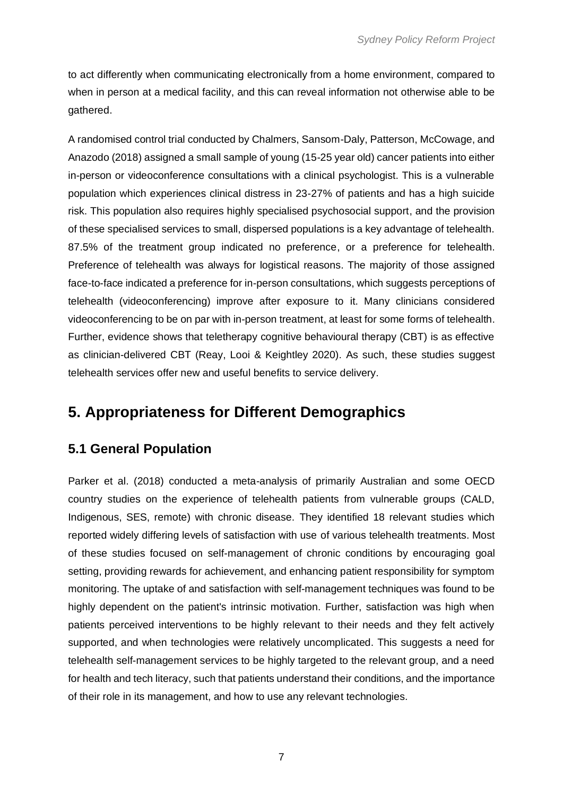to act differently when communicating electronically from a home environment, compared to when in person at a medical facility, and this can reveal information not otherwise able to be gathered.

A randomised control trial conducted by Chalmers, Sansom-Daly, Patterson, McCowage, and Anazodo (2018) assigned a small sample of young (15-25 year old) cancer patients into either in-person or videoconference consultations with a clinical psychologist. This is a vulnerable population which experiences clinical distress in 23-27% of patients and has a high suicide risk. This population also requires highly specialised psychosocial support, and the provision of these specialised services to small, dispersed populations is a key advantage of telehealth. 87.5% of the treatment group indicated no preference, or a preference for telehealth. Preference of telehealth was always for logistical reasons. The majority of those assigned face-to-face indicated a preference for in-person consultations, which suggests perceptions of telehealth (videoconferencing) improve after exposure to it. Many clinicians considered videoconferencing to be on par with in-person treatment, at least for some forms of telehealth. Further, evidence shows that teletherapy cognitive behavioural therapy (CBT) is as effective as clinician-delivered CBT (Reay, Looi & Keightley 2020). As such, these studies suggest telehealth services offer new and useful benefits to service delivery.

### <span id="page-8-0"></span>**5. Appropriateness for Different Demographics**

### <span id="page-8-1"></span>**5.1 General Population**

Parker et al. (2018) conducted a meta-analysis of primarily Australian and some OECD country studies on the experience of telehealth patients from vulnerable groups (CALD, Indigenous, SES, remote) with chronic disease. They identified 18 relevant studies which reported widely differing levels of satisfaction with use of various telehealth treatments. Most of these studies focused on self-management of chronic conditions by encouraging goal setting, providing rewards for achievement, and enhancing patient responsibility for symptom monitoring. The uptake of and satisfaction with self-management techniques was found to be highly dependent on the patient's intrinsic motivation. Further, satisfaction was high when patients perceived interventions to be highly relevant to their needs and they felt actively supported, and when technologies were relatively uncomplicated. This suggests a need for telehealth self-management services to be highly targeted to the relevant group, and a need for health and tech literacy, such that patients understand their conditions, and the importance of their role in its management, and how to use any relevant technologies.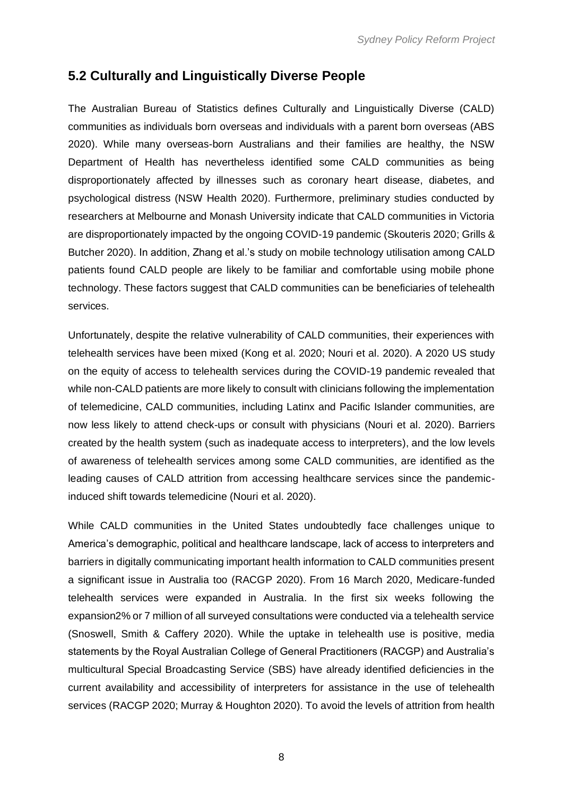#### <span id="page-9-0"></span>**5.2 Culturally and Linguistically Diverse People**

The Australian Bureau of Statistics defines Culturally and Linguistically Diverse (CALD) communities as individuals born overseas and individuals with a parent born overseas (ABS 2020). While many overseas-born Australians and their families are healthy, the NSW Department of Health has nevertheless identified some CALD communities as being disproportionately affected by illnesses such as coronary heart disease, diabetes, and psychological distress (NSW Health 2020). Furthermore, preliminary studies conducted by researchers at Melbourne and Monash University indicate that CALD communities in Victoria are disproportionately impacted by the ongoing COVID-19 pandemic (Skouteris 2020; Grills & Butcher 2020). In addition, Zhang et al.'s study on mobile technology utilisation among CALD patients found CALD people are likely to be familiar and comfortable using mobile phone technology. These factors suggest that CALD communities can be beneficiaries of telehealth services.

Unfortunately, despite the relative vulnerability of CALD communities, their experiences with telehealth services have been mixed (Kong et al. 2020; Nouri et al. 2020). A 2020 US study on the equity of access to telehealth services during the COVID-19 pandemic revealed that while non-CALD patients are more likely to consult with clinicians following the implementation of telemedicine, CALD communities, including Latinx and Pacific Islander communities, are now less likely to attend check-ups or consult with physicians (Nouri et al. 2020). Barriers created by the health system (such as inadequate access to interpreters), and the low levels of awareness of telehealth services among some CALD communities, are identified as the leading causes of CALD attrition from accessing healthcare services since the pandemicinduced shift towards telemedicine (Nouri et al. 2020).

While CALD communities in the United States undoubtedly face challenges unique to America's demographic, political and healthcare landscape, lack of access to interpreters and barriers in digitally communicating important health information to CALD communities present a significant issue in Australia too (RACGP 2020). From 16 March 2020, Medicare-funded telehealth services were expanded in Australia. In the first six weeks following the expansion2% or 7 million of all surveyed consultations were conducted via a telehealth service (Snoswell, Smith & Caffery 2020). While the uptake in telehealth use is positive, media statements by the Royal Australian College of General Practitioners (RACGP) and Australia's multicultural Special Broadcasting Service (SBS) have already identified deficiencies in the current availability and accessibility of interpreters for assistance in the use of telehealth services (RACGP 2020; Murray & Houghton 2020). To avoid the levels of attrition from health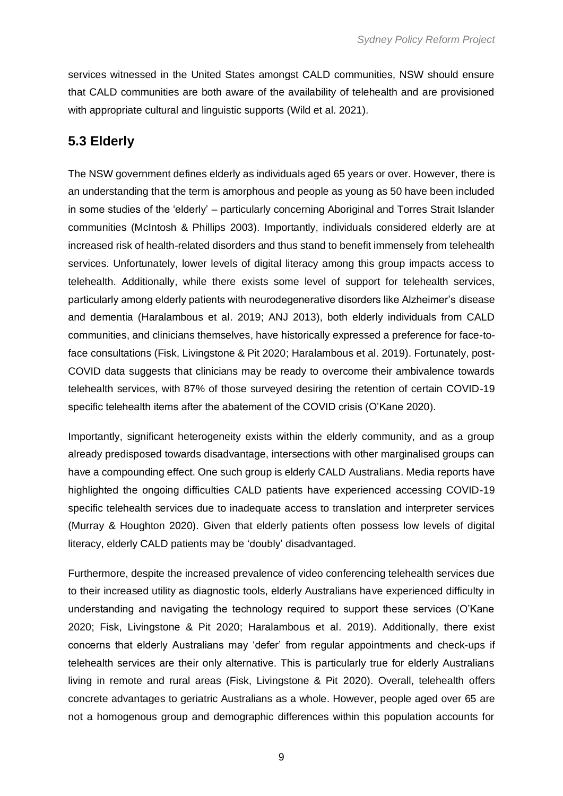services witnessed in the United States amongst CALD communities, NSW should ensure that CALD communities are both aware of the availability of telehealth and are provisioned with appropriate cultural and linguistic supports (Wild et al. 2021).

#### <span id="page-10-0"></span>**5.3 Elderly**

The NSW government defines elderly as individuals aged 65 years or over. However, there is an understanding that the term is amorphous and people as young as 50 have been included in some studies of the 'elderly' – particularly concerning Aboriginal and Torres Strait Islander communities (McIntosh & Phillips 2003). Importantly, individuals considered elderly are at increased risk of health-related disorders and thus stand to benefit immensely from telehealth services. Unfortunately, lower levels of digital literacy among this group impacts access to telehealth. Additionally, while there exists some level of support for telehealth services, particularly among elderly patients with neurodegenerative disorders like Alzheimer's disease and dementia (Haralambous et al. 2019; ANJ 2013), both elderly individuals from CALD communities, and clinicians themselves, have historically expressed a preference for face-toface consultations (Fisk, Livingstone & Pit 2020; Haralambous et al. 2019). Fortunately, post-COVID data suggests that clinicians may be ready to overcome their ambivalence towards telehealth services, with 87% of those surveyed desiring the retention of certain COVID-19 specific telehealth items after the abatement of the COVID crisis (O'Kane 2020).

Importantly, significant heterogeneity exists within the elderly community, and as a group already predisposed towards disadvantage, intersections with other marginalised groups can have a compounding effect. One such group is elderly CALD Australians. Media reports have highlighted the ongoing difficulties CALD patients have experienced accessing COVID-19 specific telehealth services due to inadequate access to translation and interpreter services (Murray & Houghton 2020). Given that elderly patients often possess low levels of digital literacy, elderly CALD patients may be 'doubly' disadvantaged.

Furthermore, despite the increased prevalence of video conferencing telehealth services due to their increased utility as diagnostic tools, elderly Australians have experienced difficulty in understanding and navigating the technology required to support these services (O'Kane 2020; Fisk, Livingstone & Pit 2020; Haralambous et al. 2019). Additionally, there exist concerns that elderly Australians may 'defer' from regular appointments and check-ups if telehealth services are their only alternative. This is particularly true for elderly Australians living in remote and rural areas (Fisk, Livingstone & Pit 2020). Overall, telehealth offers concrete advantages to geriatric Australians as a whole. However, people aged over 65 are not a homogenous group and demographic differences within this population accounts for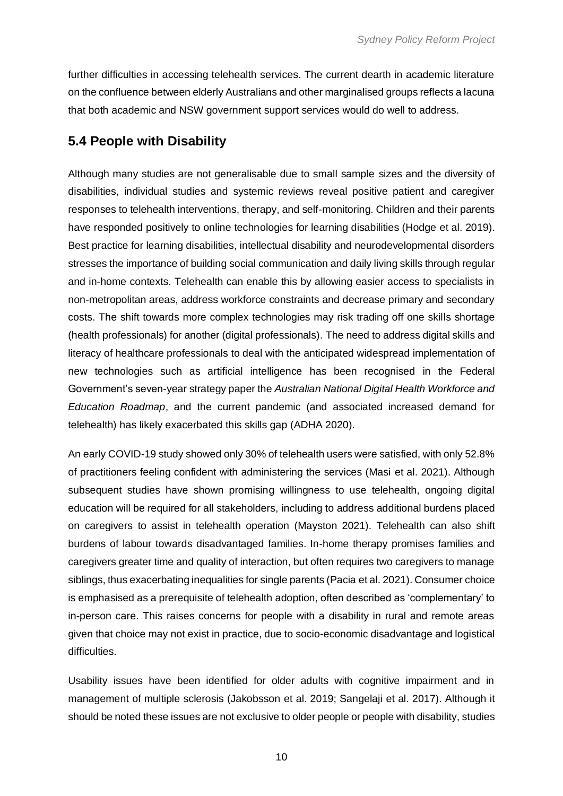further difficulties in accessing telehealth services. The current dearth in academic literature on the confluence between elderly Australians and other marginalised groups reflects a lacuna that both academic and NSW government support services would do well to address.

#### <span id="page-11-0"></span>**5.4 People with Disability**

Although many studies are not generalisable due to small sample sizes and the diversity of disabilities, individual studies and systemic reviews reveal positive patient and caregiver responses to telehealth interventions, therapy, and self-monitoring. Children and their parents have responded positively to online technologies for learning disabilities (Hodge et al. 2019). Best practice for learning disabilities, intellectual disability and neurodevelopmental disorders stresses the importance of building social communication and daily living skills through regular and in-home contexts. Telehealth can enable this by allowing easier access to specialists in non-metropolitan areas, address workforce constraints and decrease primary and secondary costs. The shift towards more complex technologies may risk trading off one skills shortage (health professionals) for another (digital professionals). The need to address digital skills and literacy of healthcare professionals to deal with the anticipated widespread implementation of new technologies such as artificial intelligence has been recognised in the Federal Government's seven-year strategy paper the *Australian National Digital Health Workforce and Education Roadmap*, and the current pandemic (and associated increased demand for telehealth) has likely exacerbated this skills gap (ADHA 2020).

An early COVID-19 study showed only 30% of telehealth users were satisfied, with only 52.8% of practitioners feeling confident with administering the services (Masi et al. 2021). Although subsequent studies have shown promising willingness to use telehealth, ongoing digital education will be required for all stakeholders, including to address additional burdens placed on caregivers to assist in telehealth operation (Mayston 2021). Telehealth can also shift burdens of labour towards disadvantaged families. In-home therapy promises families and caregivers greater time and quality of interaction, but often requires two caregivers to manage siblings, thus exacerbating inequalities for single parents (Pacia et al. 2021). Consumer choice is emphasised as a prerequisite of telehealth adoption, often described as 'complementary' to in-person care. This raises concerns for people with a disability in rural and remote areas given that choice may not exist in practice, due to socio-economic disadvantage and logistical difficulties.

Usability issues have been identified for older adults with cognitive impairment and in management of multiple sclerosis (Jakobsson et al. 2019; Sangelaji et al. 2017). Although it should be noted these issues are not exclusive to older people or people with disability, studies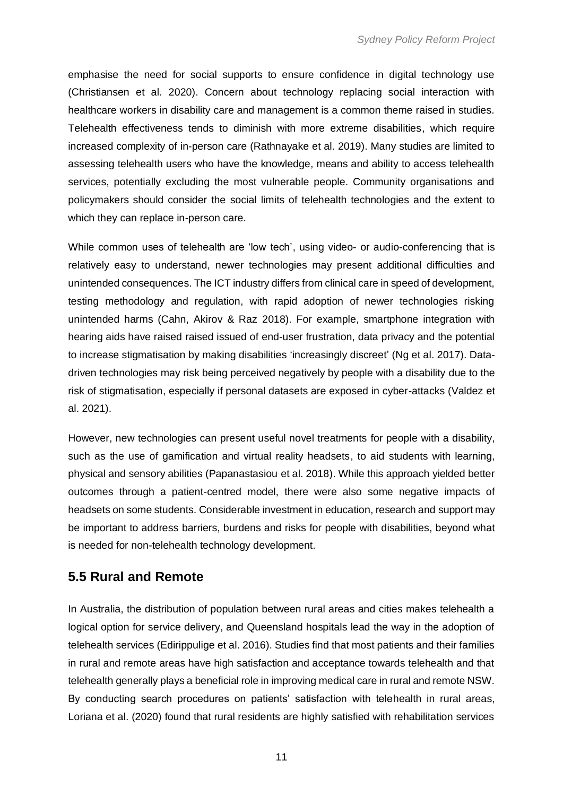emphasise the need for social supports to ensure confidence in digital technology use (Christiansen et al. 2020). Concern about technology replacing social interaction with healthcare workers in disability care and management is a common theme raised in studies. Telehealth effectiveness tends to diminish with more extreme disabilities, which require increased complexity of in-person care (Rathnayake et al. 2019). Many studies are limited to assessing telehealth users who have the knowledge, means and ability to access telehealth services, potentially excluding the most vulnerable people. Community organisations and policymakers should consider the social limits of telehealth technologies and the extent to which they can replace in-person care.

While common uses of telehealth are 'low tech', using video- or audio-conferencing that is relatively easy to understand, newer technologies may present additional difficulties and unintended consequences. The ICT industry differs from clinical care in speed of development, testing methodology and regulation, with rapid adoption of newer technologies risking unintended harms (Cahn, Akirov & Raz 2018). For example, smartphone integration with hearing aids have raised raised issued of end-user frustration, data privacy and the potential to increase stigmatisation by making disabilities 'increasingly discreet' (Ng et al. 2017). Datadriven technologies may risk being perceived negatively by people with a disability due to the risk of stigmatisation, especially if personal datasets are exposed in cyber-attacks (Valdez et al. 2021).

However, new technologies can present useful novel treatments for people with a disability, such as the use of gamification and virtual reality headsets, to aid students with learning, physical and sensory abilities (Papanastasiou et al. 2018). While this approach yielded better outcomes through a patient-centred model, there were also some negative impacts of headsets on some students. Considerable investment in education, research and support may be important to address barriers, burdens and risks for people with disabilities, beyond what is needed for non-telehealth technology development.

#### <span id="page-12-0"></span>**5.5 Rural and Remote**

In Australia, the distribution of population between rural areas and cities makes telehealth a logical option for service delivery, and Queensland hospitals lead the way in the adoption of telehealth services (Edirippulige et al. 2016). Studies find that most patients and their families in rural and remote areas have high satisfaction and acceptance towards telehealth and that telehealth generally plays a beneficial role in improving medical care in rural and remote NSW. By conducting search procedures on patients' satisfaction with telehealth in rural areas, Loriana et al. (2020) found that rural residents are highly satisfied with rehabilitation services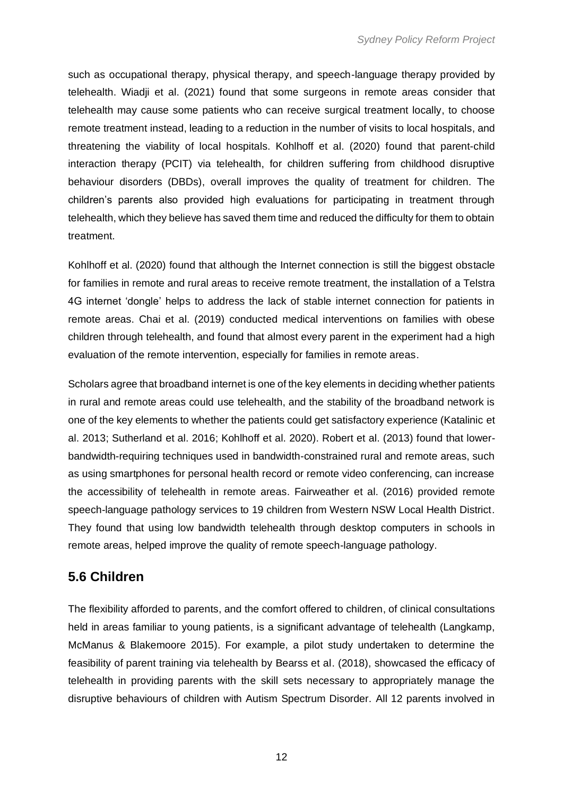such as occupational therapy, physical therapy, and speech-language therapy provided by telehealth. Wiadji et al. (2021) found that some surgeons in remote areas consider that telehealth may cause some patients who can receive surgical treatment locally, to choose remote treatment instead, leading to a reduction in the number of visits to local hospitals, and threatening the viability of local hospitals. Kohlhoff et al. (2020) found that parent-child interaction therapy (PCIT) via telehealth, for children suffering from childhood disruptive behaviour disorders (DBDs), overall improves the quality of treatment for children. The children's parents also provided high evaluations for participating in treatment through telehealth, which they believe has saved them time and reduced the difficulty for them to obtain treatment.

Kohlhoff et al. (2020) found that although the Internet connection is still the biggest obstacle for families in remote and rural areas to receive remote treatment, the installation of a Telstra 4G internet 'dongle' helps to address the lack of stable internet connection for patients in remote areas. Chai et al. (2019) conducted medical interventions on families with obese children through telehealth, and found that almost every parent in the experiment had a high evaluation of the remote intervention, especially for families in remote areas.

Scholars agree that broadband internet is one of the key elements in deciding whether patients in rural and remote areas could use telehealth, and the stability of the broadband network is one of the key elements to whether the patients could get satisfactory experience (Katalinic et al. 2013; Sutherland et al. 2016; Kohlhoff et al. 2020). Robert et al. (2013) found that lowerbandwidth-requiring techniques used in bandwidth-constrained rural and remote areas, such as using smartphones for personal health record or remote video conferencing, can increase the accessibility of telehealth in remote areas. Fairweather et al. (2016) provided remote speech-language pathology services to 19 children from Western NSW Local Health District. They found that using low bandwidth telehealth through desktop computers in schools in remote areas, helped improve the quality of remote speech-language pathology.

#### <span id="page-13-0"></span>**5.6 Children**

The flexibility afforded to parents, and the comfort offered to children, of clinical consultations held in areas familiar to young patients, is a significant advantage of telehealth (Langkamp, McManus & Blakemoore 2015). For example, a pilot study undertaken to determine the feasibility of parent training via telehealth by Bearss et al. (2018), showcased the efficacy of telehealth in providing parents with the skill sets necessary to appropriately manage the disruptive behaviours of children with Autism Spectrum Disorder. All 12 parents involved in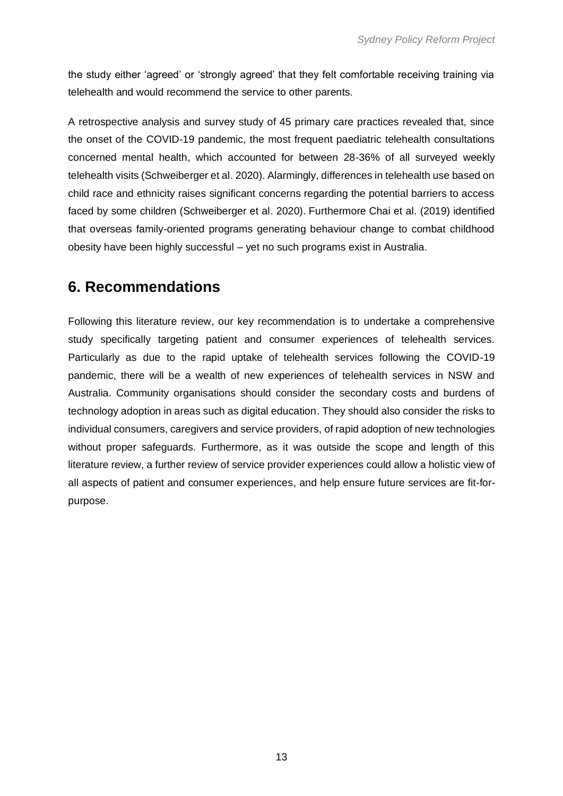the study either 'agreed' or 'strongly agreed' that they felt comfortable receiving training via telehealth and would recommend the service to other parents.

A retrospective analysis and survey study of 45 primary care practices revealed that, since the onset of the COVID-19 pandemic, the most frequent paediatric telehealth consultations concerned mental health, which accounted for between 28-36% of all surveyed weekly telehealth visits (Schweiberger et al. 2020). Alarmingly, differences in telehealth use based on child race and ethnicity raises significant concerns regarding the potential barriers to access faced by some children (Schweiberger et al. 2020). Furthermore Chai et al. (2019) identified that overseas family-oriented programs generating behaviour change to combat childhood obesity have been highly successful – yet no such programs exist in Australia.

### <span id="page-14-0"></span>**6. Recommendations**

Following this literature review, our key recommendation is to undertake a comprehensive study specifically targeting patient and consumer experiences of telehealth services. Particularly as due to the rapid uptake of telehealth services following the COVID-19 pandemic, there will be a wealth of new experiences of telehealth services in NSW and Australia. Community organisations should consider the secondary costs and burdens of technology adoption in areas such as digital education. They should also consider the risks to individual consumers, caregivers and service providers, of rapid adoption of new technologies without proper safeguards. Furthermore, as it was outside the scope and length of this literature review, a further review of service provider experiences could allow a holistic view of all aspects of patient and consumer experiences, and help ensure future services are fit-forpurpose.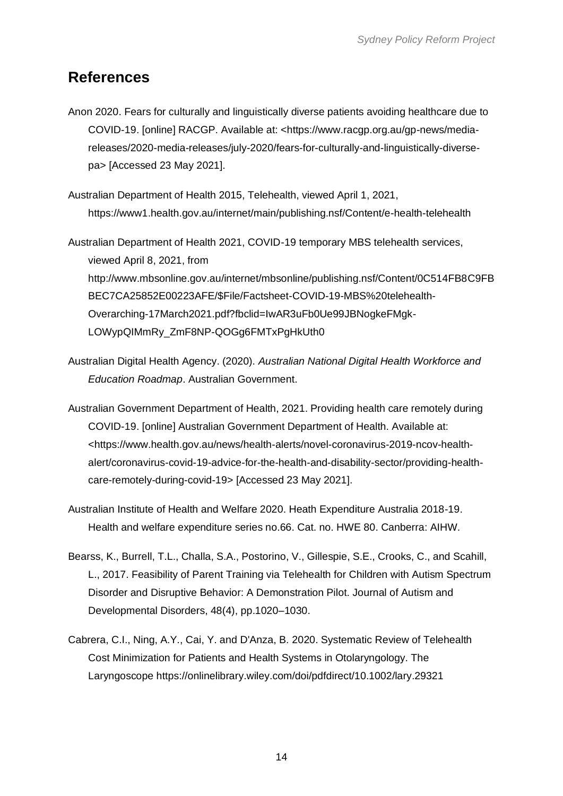### <span id="page-15-0"></span>**References**

Anon 2020. Fears for culturally and linguistically diverse patients avoiding healthcare due to COVID-19. [online] RACGP. Available at: <https://www.racgp.org.au/gp-news/mediareleases/2020-media-releases/july-2020/fears-for-culturally-and-linguistically-diversepa> [Accessed 23 May 2021].

Australian Department of Health 2015, Telehealth, viewed April 1, 2021, https://www1.health.gov.au/internet/main/publishing.nsf/Content/e-health-telehealth

Australian Department of Health 2021, COVID-19 temporary MBS telehealth services, viewed April 8, 2021, from http://www.mbsonline.gov.au/internet/mbsonline/publishing.nsf/Content/0C514FB8C9FB BEC7CA25852E00223AFE/\$File/Factsheet-COVID-19-MBS%20telehealth-Overarching-17March2021.pdf?fbclid=IwAR3uFb0Ue99JBNogkeFMgk-LOWypQIMmRy\_ZmF8NP-QOGg6FMTxPgHkUth0

- Australian Digital Health Agency. (2020). *Australian National Digital Health Workforce and Education Roadmap*. Australian Government.
- Australian Government Department of Health, 2021. Providing health care remotely during COVID-19. [online] Australian Government Department of Health. Available at: <https://www.health.gov.au/news/health-alerts/novel-coronavirus-2019-ncov-healthalert/coronavirus-covid-19-advice-for-the-health-and-disability-sector/providing-healthcare-remotely-during-covid-19> [Accessed 23 May 2021].
- Australian Institute of Health and Welfare 2020. Heath Expenditure Australia 2018-19. Health and welfare expenditure series no.66. Cat. no. HWE 80. Canberra: AIHW.
- Bearss, K., Burrell, T.L., Challa, S.A., Postorino, V., Gillespie, S.E., Crooks, C., and Scahill, L., 2017. Feasibility of Parent Training via Telehealth for Children with Autism Spectrum Disorder and Disruptive Behavior: A Demonstration Pilot. Journal of Autism and Developmental Disorders, 48(4), pp.1020–1030.
- Cabrera, C.I., Ning, A.Y., Cai, Y. and D'Anza, B. 2020. Systematic Review of Telehealth Cost Minimization for Patients and Health Systems in Otolaryngology. The Laryngoscope https://onlinelibrary.wiley.com/doi/pdfdirect/10.1002/lary.29321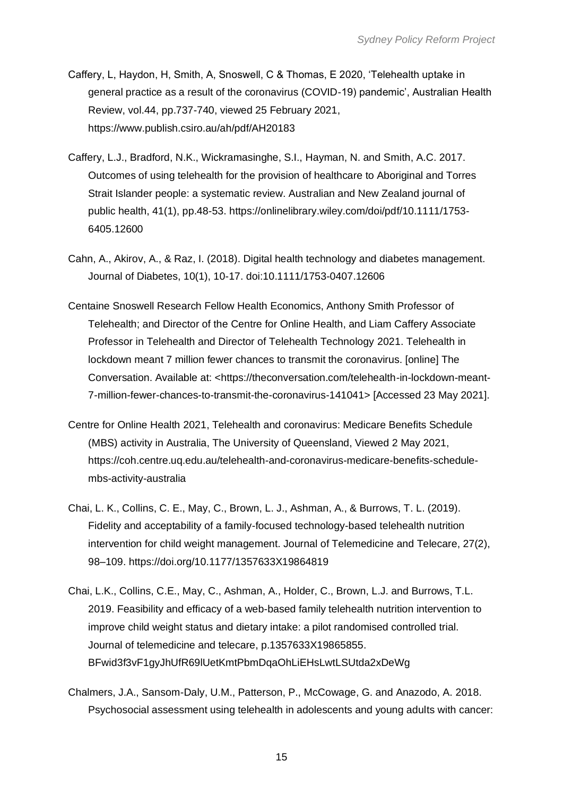- Caffery, L, Haydon, H, Smith, A, Snoswell, C & Thomas, E 2020, 'Telehealth uptake in general practice as a result of the coronavirus (COVID-19) pandemic', Australian Health Review, vol.44, pp.737-740, viewed 25 February 2021, https://www.publish.csiro.au/ah/pdf/AH20183
- Caffery, L.J., Bradford, N.K., Wickramasinghe, S.I., Hayman, N. and Smith, A.C. 2017. Outcomes of using telehealth for the provision of healthcare to Aboriginal and Torres Strait Islander people: a systematic review. Australian and New Zealand journal of public health, 41(1), pp.48-53. https://onlinelibrary.wiley.com/doi/pdf/10.1111/1753- 6405.12600
- Cahn, A., Akirov, A., & Raz, I. (2018). Digital health technology and diabetes management. Journal of Diabetes, 10(1), 10-17. doi:10.1111/1753-0407.12606
- Centaine Snoswell Research Fellow Health Economics, Anthony Smith Professor of Telehealth; and Director of the Centre for Online Health, and Liam Caffery Associate Professor in Telehealth and Director of Telehealth Technology 2021. Telehealth in lockdown meant 7 million fewer chances to transmit the coronavirus. [online] The Conversation. Available at: <https://theconversation.com/telehealth-in-lockdown-meant-7-million-fewer-chances-to-transmit-the-coronavirus-141041> [Accessed 23 May 2021].
- Centre for Online Health 2021, Telehealth and coronavirus: Medicare Benefits Schedule (MBS) activity in Australia, The University of Queensland, Viewed 2 May 2021, https://coh.centre.uq.edu.au/telehealth-and-coronavirus-medicare-benefits-schedulembs-activity-australia
- Chai, L. K., Collins, C. E., May, C., Brown, L. J., Ashman, A., & Burrows, T. L. (2019). Fidelity and acceptability of a family-focused technology-based telehealth nutrition intervention for child weight management. Journal of Telemedicine and Telecare, 27(2), 98–109. https://doi.org/10.1177/1357633X19864819
- Chai, L.K., Collins, C.E., May, C., Ashman, A., Holder, C., Brown, L.J. and Burrows, T.L. 2019. Feasibility and efficacy of a web-based family telehealth nutrition intervention to improve child weight status and dietary intake: a pilot randomised controlled trial. Journal of telemedicine and telecare, p.1357633X19865855. BFwid3f3vF1gyJhUfR69lUetKmtPbmDqaOhLiEHsLwtLSUtda2xDeWg
- Chalmers, J.A., Sansom-Daly, U.M., Patterson, P., McCowage, G. and Anazodo, A. 2018. Psychosocial assessment using telehealth in adolescents and young adults with cancer: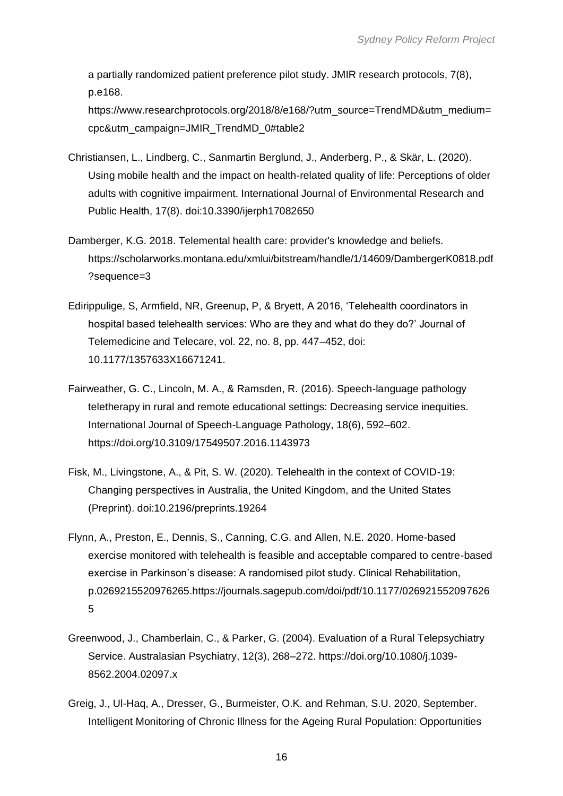a partially randomized patient preference pilot study. JMIR research protocols, 7(8), p.e168.

https://www.researchprotocols.org/2018/8/e168/?utm\_source=TrendMD&utm\_medium= cpc&utm\_campaign=JMIR\_TrendMD\_0#table2

- Christiansen, L., Lindberg, C., Sanmartin Berglund, J., Anderberg, P., & Skär, L. (2020). Using mobile health and the impact on health-related quality of life: Perceptions of older adults with cognitive impairment. International Journal of Environmental Research and Public Health, 17(8). doi:10.3390/ijerph17082650
- Damberger, K.G. 2018. Telemental health care: provider's knowledge and beliefs. https://scholarworks.montana.edu/xmlui/bitstream/handle/1/14609/DambergerK0818.pdf ?sequence=3
- Edirippulige, S, Armfield, NR, Greenup, P, & Bryett, A 2016, 'Telehealth coordinators in hospital based telehealth services: Who are they and what do they do?' Journal of Telemedicine and Telecare, vol. 22, no. 8, pp. 447–452, doi: 10.1177/1357633X16671241.
- Fairweather, G. C., Lincoln, M. A., & Ramsden, R. (2016). Speech-language pathology teletherapy in rural and remote educational settings: Decreasing service inequities. International Journal of Speech-Language Pathology, 18(6), 592–602. https://doi.org/10.3109/17549507.2016.1143973
- Fisk, M., Livingstone, A., & Pit, S. W. (2020). Telehealth in the context of COVID-19: Changing perspectives in Australia, the United Kingdom, and the United States (Preprint). doi:10.2196/preprints.19264
- Flynn, A., Preston, E., Dennis, S., Canning, C.G. and Allen, N.E. 2020. Home-based exercise monitored with telehealth is feasible and acceptable compared to centre-based exercise in Parkinson's disease: A randomised pilot study. Clinical Rehabilitation, p.0269215520976265.https://journals.sagepub.com/doi/pdf/10.1177/026921552097626 5
- Greenwood, J., Chamberlain, C., & Parker, G. (2004). Evaluation of a Rural Telepsychiatry Service. Australasian Psychiatry, 12(3), 268–272. https://doi.org/10.1080/j.1039- 8562.2004.02097.x
- Greig, J., Ul-Haq, A., Dresser, G., Burmeister, O.K. and Rehman, S.U. 2020, September. Intelligent Monitoring of Chronic Illness for the Ageing Rural Population: Opportunities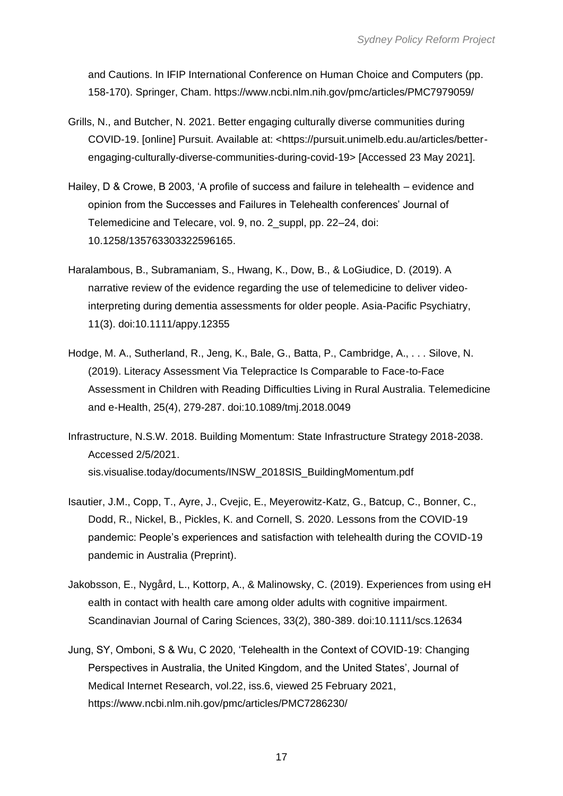and Cautions. In IFIP International Conference on Human Choice and Computers (pp. 158-170). Springer, Cham. https://www.ncbi.nlm.nih.gov/pmc/articles/PMC7979059/

- Grills, N., and Butcher, N. 2021. Better engaging culturally diverse communities during COVID-19. [online] Pursuit. Available at: <https://pursuit.unimelb.edu.au/articles/betterengaging-culturally-diverse-communities-during-covid-19> [Accessed 23 May 2021].
- Hailey, D & Crowe, B 2003, 'A profile of success and failure in telehealth evidence and opinion from the Successes and Failures in Telehealth conferences' Journal of Telemedicine and Telecare, vol. 9, no. 2\_suppl, pp. 22–24, doi: 10.1258/135763303322596165.
- Haralambous, B., Subramaniam, S., Hwang, K., Dow, B., & LoGiudice, D. (2019). A narrative review of the evidence regarding the use of telemedicine to deliver video‐ interpreting during dementia assessments for older people. Asia-Pacific Psychiatry, 11(3). doi:10.1111/appy.12355
- Hodge, M. A., Sutherland, R., Jeng, K., Bale, G., Batta, P., Cambridge, A., . . . Silove, N. (2019). Literacy Assessment Via Telepractice Is Comparable to Face-to-Face Assessment in Children with Reading Difficulties Living in Rural Australia. Telemedicine and e-Health, 25(4), 279-287. doi:10.1089/tmj.2018.0049
- Infrastructure, N.S.W. 2018. Building Momentum: State Infrastructure Strategy 2018-2038. Accessed 2/5/2021. sis.visualise.today/documents/INSW\_2018SIS\_BuildingMomentum.pdf
- Isautier, J.M., Copp, T., Ayre, J., Cvejic, E., Meyerowitz-Katz, G., Batcup, C., Bonner, C., Dodd, R., Nickel, B., Pickles, K. and Cornell, S. 2020. Lessons from the COVID-19 pandemic: People's experiences and satisfaction with telehealth during the COVID-19 pandemic in Australia (Preprint).
- Jakobsson, E., Nygård, L., Kottorp, A., & Malinowsky, C. (2019). Experiences from using eH ealth in contact with health care among older adults with cognitive impairment. Scandinavian Journal of Caring Sciences, 33(2), 380-389. doi:10.1111/scs.12634
- Jung, SY, Omboni, S & Wu, C 2020, 'Telehealth in the Context of COVID-19: Changing Perspectives in Australia, the United Kingdom, and the United States', Journal of Medical Internet Research, vol.22, iss.6, viewed 25 February 2021, https://www.ncbi.nlm.nih.gov/pmc/articles/PMC7286230/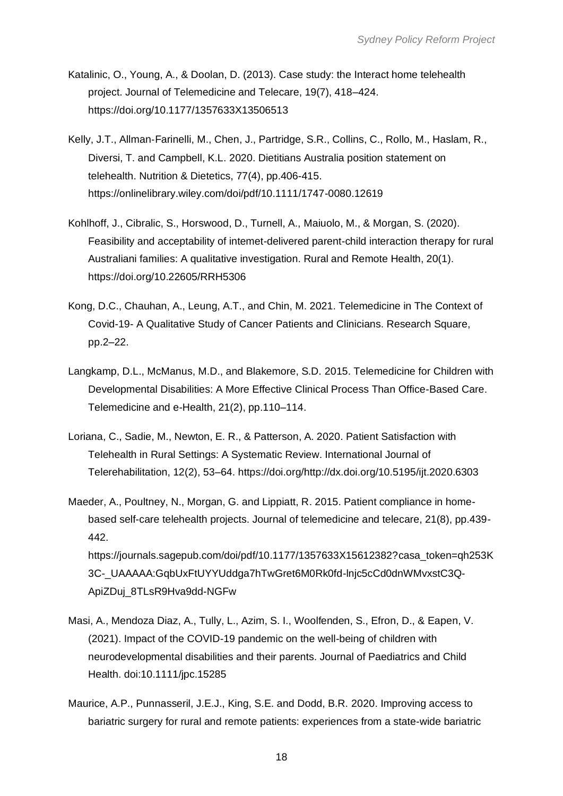- Katalinic, O., Young, A., & Doolan, D. (2013). Case study: the Interact home telehealth project. Journal of Telemedicine and Telecare, 19(7), 418–424. https://doi.org/10.1177/1357633X13506513
- Kelly, J.T., Allman‐Farinelli, M., Chen, J., Partridge, S.R., Collins, C., Rollo, M., Haslam, R., Diversi, T. and Campbell, K.L. 2020. Dietitians Australia position statement on telehealth. Nutrition & Dietetics, 77(4), pp.406-415. https://onlinelibrary.wiley.com/doi/pdf/10.1111/1747-0080.12619
- Kohlhoff, J., Cibralic, S., Horswood, D., Turnell, A., Maiuolo, M., & Morgan, S. (2020). Feasibility and acceptability of intemet-delivered parent-child interaction therapy for rural Australiani families: A qualitative investigation. Rural and Remote Health, 20(1). https://doi.org/10.22605/RRH5306
- Kong, D.C., Chauhan, A., Leung, A.T., and Chin, M. 2021. Telemedicine in The Context of Covid-19- A Qualitative Study of Cancer Patients and Clinicians. Research Square, pp.2–22.
- Langkamp, D.L., McManus, M.D., and Blakemore, S.D. 2015. Telemedicine for Children with Developmental Disabilities: A More Effective Clinical Process Than Office-Based Care. Telemedicine and e-Health, 21(2), pp.110–114.
- Loriana, C., Sadie, M., Newton, E. R., & Patterson, A. 2020. Patient Satisfaction with Telehealth in Rural Settings: A Systematic Review. International Journal of Telerehabilitation, 12(2), 53–64. https://doi.org/http://dx.doi.org/10.5195/ijt.2020.6303
- Maeder, A., Poultney, N., Morgan, G. and Lippiatt, R. 2015. Patient compliance in homebased self-care telehealth projects. Journal of telemedicine and telecare, 21(8), pp.439- 442. https://journals.sagepub.com/doi/pdf/10.1177/1357633X15612382?casa\_token=gh253K 3C-\_UAAAAA:GqbUxFtUYYUddga7hTwGret6M0Rk0fd-lnjc5cCd0dnWMvxstC3Q-

ApiZDuj\_8TLsR9Hva9dd-NGFw

- Masi, A., Mendoza Diaz, A., Tully, L., Azim, S. I., Woolfenden, S., Efron, D., & Eapen, V. (2021). Impact of the COVID-19 pandemic on the well-being of children with neurodevelopmental disabilities and their parents. Journal of Paediatrics and Child Health. doi:10.1111/jpc.15285
- Maurice, A.P., Punnasseril, J.E.J., King, S.E. and Dodd, B.R. 2020. Improving access to bariatric surgery for rural and remote patients: experiences from a state-wide bariatric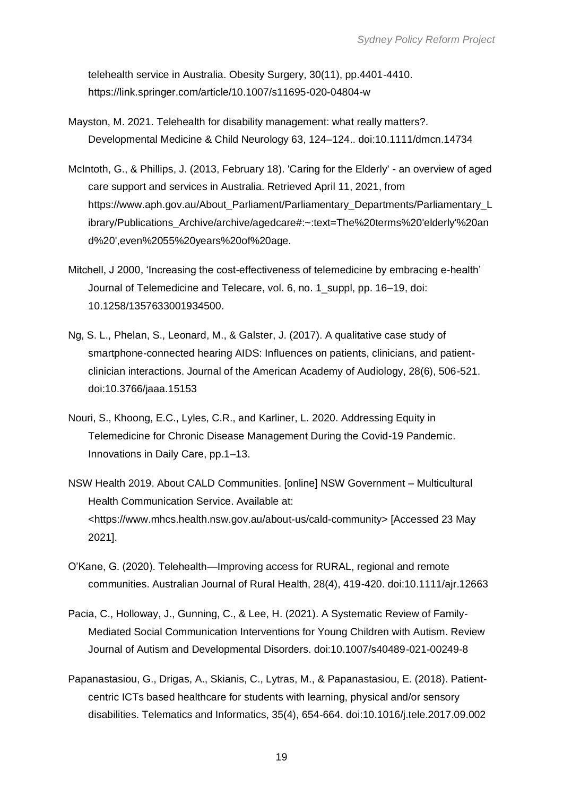telehealth service in Australia. Obesity Surgery, 30(11), pp.4401-4410. https://link.springer.com/article/10.1007/s11695-020-04804-w

- Mayston, M. 2021. Telehealth for disability management: what really matters?. Developmental Medicine & Child Neurology 63, 124–124.. doi:10.1111/dmcn.14734
- McIntoth, G., & Phillips, J. (2013, February 18). 'Caring for the Elderly' an overview of aged care support and services in Australia. Retrieved April 11, 2021, from https://www.aph.gov.au/About\_Parliament/Parliamentary\_Departments/Parliamentary\_L ibrary/Publications\_Archive/archive/agedcare#:~:text=The%20terms%20'elderly'%20an d%20',even%2055%20years%20of%20age.
- Mitchell, J 2000, 'Increasing the cost-effectiveness of telemedicine by embracing e-health' Journal of Telemedicine and Telecare, vol. 6, no. 1\_suppl, pp. 16–19, doi: 10.1258/1357633001934500.
- Ng, S. L., Phelan, S., Leonard, M., & Galster, J. (2017). A qualitative case study of smartphone-connected hearing AIDS: Influences on patients, clinicians, and patientclinician interactions. Journal of the American Academy of Audiology, 28(6), 506-521. doi:10.3766/jaaa.15153
- Nouri, S., Khoong, E.C., Lyles, C.R., and Karliner, L. 2020. Addressing Equity in Telemedicine for Chronic Disease Management During the Covid-19 Pandemic. Innovations in Daily Care, pp.1–13.
- NSW Health 2019. About CALD Communities. [online] NSW Government Multicultural Health Communication Service. Available at: <https://www.mhcs.health.nsw.gov.au/about-us/cald-community> [Accessed 23 May 2021].
- O'Kane, G. (2020). Telehealth—Improving access for RURAL, regional and remote communities. Australian Journal of Rural Health, 28(4), 419-420. doi:10.1111/ajr.12663
- Pacia, C., Holloway, J., Gunning, C., & Lee, H. (2021). A Systematic Review of Family-Mediated Social Communication Interventions for Young Children with Autism. Review Journal of Autism and Developmental Disorders. doi:10.1007/s40489-021-00249-8
- Papanastasiou, G., Drigas, A., Skianis, C., Lytras, M., & Papanastasiou, E. (2018). Patientcentric ICTs based healthcare for students with learning, physical and/or sensory disabilities. Telematics and Informatics, 35(4), 654-664. doi:10.1016/j.tele.2017.09.002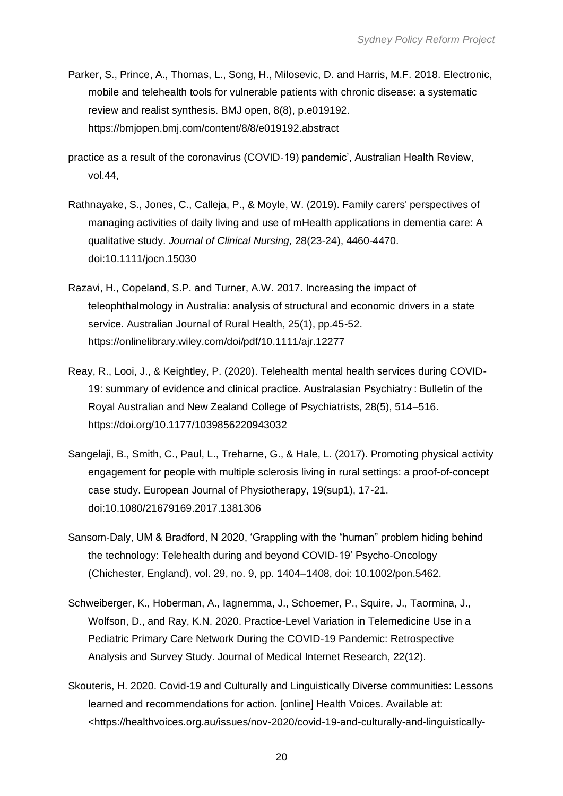- Parker, S., Prince, A., Thomas, L., Song, H., Milosevic, D. and Harris, M.F. 2018. Electronic, mobile and telehealth tools for vulnerable patients with chronic disease: a systematic review and realist synthesis. BMJ open, 8(8), p.e019192. https://bmjopen.bmj.com/content/8/8/e019192.abstract
- practice as a result of the coronavirus (COVID-19) pandemic', Australian Health Review, vol.44,
- Rathnayake, S., Jones, C., Calleja, P., & Moyle, W. (2019). Family carers' perspectives of managing activities of daily living and use of mHealth applications in dementia care: A qualitative study. *Journal of Clinical Nursing,* 28(23-24), 4460-4470. doi:10.1111/jocn.15030
- Razavi, H., Copeland, S.P. and Turner, A.W. 2017. Increasing the impact of teleophthalmology in Australia: analysis of structural and economic drivers in a state service. Australian Journal of Rural Health, 25(1), pp.45-52. https://onlinelibrary.wiley.com/doi/pdf/10.1111/ajr.12277
- Reay, R., Looi, J., & Keightley, P. (2020). Telehealth mental health services during COVID-19: summary of evidence and clinical practice. Australasian Psychiatry : Bulletin of the Royal Australian and New Zealand College of Psychiatrists, 28(5), 514–516. https://doi.org/10.1177/1039856220943032
- Sangelaji, B., Smith, C., Paul, L., Treharne, G., & Hale, L. (2017). Promoting physical activity engagement for people with multiple sclerosis living in rural settings: a proof-of-concept case study. European Journal of Physiotherapy, 19(sup1), 17-21. doi:10.1080/21679169.2017.1381306
- Sansom‐Daly, UM & Bradford, N 2020, 'Grappling with the "human" problem hiding behind the technology: Telehealth during and beyond COVID‐19' Psycho-Oncology (Chichester, England), vol. 29, no. 9, pp. 1404–1408, doi: 10.1002/pon.5462.
- Schweiberger, K., Hoberman, A., Iagnemma, J., Schoemer, P., Squire, J., Taormina, J., Wolfson, D., and Ray, K.N. 2020. Practice-Level Variation in Telemedicine Use in a Pediatric Primary Care Network During the COVID-19 Pandemic: Retrospective Analysis and Survey Study. Journal of Medical Internet Research, 22(12).
- Skouteris, H. 2020. Covid-19 and Culturally and Linguistically Diverse communities: Lessons learned and recommendations for action. [online] Health Voices. Available at: <https://healthvoices.org.au/issues/nov-2020/covid-19-and-culturally-and-linguistically-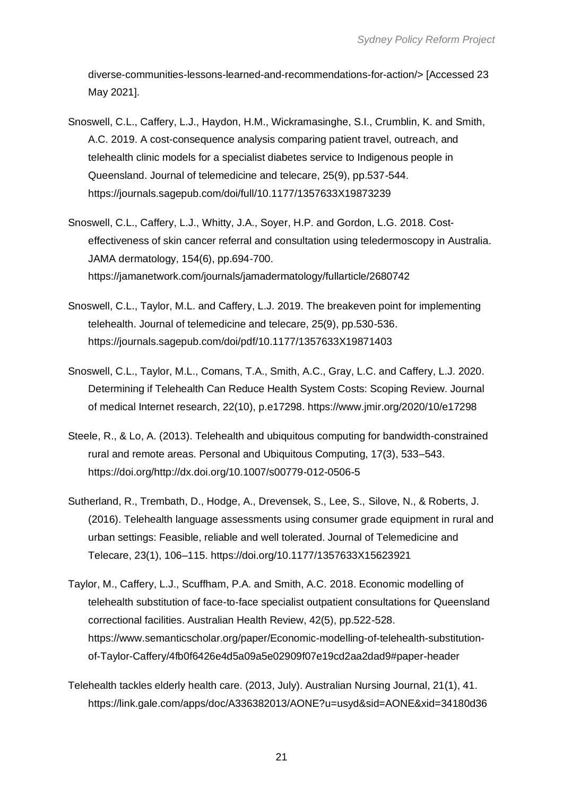diverse-communities-lessons-learned-and-recommendations-for-action/> [Accessed 23 May 2021].

- Snoswell, C.L., Caffery, L.J., Haydon, H.M., Wickramasinghe, S.I., Crumblin, K. and Smith, A.C. 2019. A cost-consequence analysis comparing patient travel, outreach, and telehealth clinic models for a specialist diabetes service to Indigenous people in Queensland. Journal of telemedicine and telecare, 25(9), pp.537-544. https://journals.sagepub.com/doi/full/10.1177/1357633X19873239
- Snoswell, C.L., Caffery, L.J., Whitty, J.A., Soyer, H.P. and Gordon, L.G. 2018. Costeffectiveness of skin cancer referral and consultation using teledermoscopy in Australia. JAMA dermatology, 154(6), pp.694-700. https://jamanetwork.com/journals/jamadermatology/fullarticle/2680742
- Snoswell, C.L., Taylor, M.L. and Caffery, L.J. 2019. The breakeven point for implementing telehealth. Journal of telemedicine and telecare, 25(9), pp.530-536. https://journals.sagepub.com/doi/pdf/10.1177/1357633X19871403
- Snoswell, C.L., Taylor, M.L., Comans, T.A., Smith, A.C., Gray, L.C. and Caffery, L.J. 2020. Determining if Telehealth Can Reduce Health System Costs: Scoping Review. Journal of medical Internet research, 22(10), p.e17298. https://www.jmir.org/2020/10/e17298
- Steele, R., & Lo, A. (2013). Telehealth and ubiquitous computing for bandwidth-constrained rural and remote areas. Personal and Ubiquitous Computing, 17(3), 533–543. https://doi.org/http://dx.doi.org/10.1007/s00779-012-0506-5
- Sutherland, R., Trembath, D., Hodge, A., Drevensek, S., Lee, S., Silove, N., & Roberts, J. (2016). Telehealth language assessments using consumer grade equipment in rural and urban settings: Feasible, reliable and well tolerated. Journal of Telemedicine and Telecare, 23(1), 106–115. https://doi.org/10.1177/1357633X15623921
- Taylor, M., Caffery, L.J., Scuffham, P.A. and Smith, A.C. 2018. Economic modelling of telehealth substitution of face-to-face specialist outpatient consultations for Queensland correctional facilities. Australian Health Review, 42(5), pp.522-528. https://www.semanticscholar.org/paper/Economic-modelling-of-telehealth-substitutionof-Taylor-Caffery/4fb0f6426e4d5a09a5e02909f07e19cd2aa2dad9#paper-header
- Telehealth tackles elderly health care. (2013, July). Australian Nursing Journal, 21(1), 41. https://link.gale.com/apps/doc/A336382013/AONE?u=usyd&sid=AONE&xid=34180d36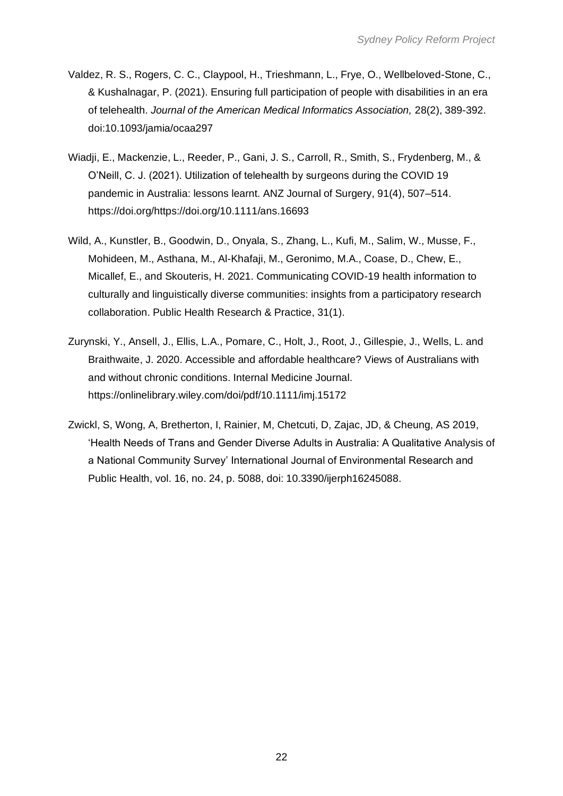- Valdez, R. S., Rogers, C. C., Claypool, H., Trieshmann, L., Frye, O., Wellbeloved-Stone, C., & Kushalnagar, P. (2021). Ensuring full participation of people with disabilities in an era of telehealth. *Journal of the American Medical Informatics Association,* 28(2), 389-392. doi:10.1093/jamia/ocaa297
- Wiadji, E., Mackenzie, L., Reeder, P., Gani, J. S., Carroll, R., Smith, S., Frydenberg, M., & O'Neill, C. J. (2021). Utilization of telehealth by surgeons during the COVID 19 pandemic in Australia: lessons learnt. ANZ Journal of Surgery, 91(4), 507–514. https://doi.org/https://doi.org/10.1111/ans.16693
- Wild, A., Kunstler, B., Goodwin, D., Onyala, S., Zhang, L., Kufi, M., Salim, W., Musse, F., Mohideen, M., Asthana, M., Al-Khafaji, M., Geronimo, M.A., Coase, D., Chew, E., Micallef, E., and Skouteris, H. 2021. Communicating COVID-19 health information to culturally and linguistically diverse communities: insights from a participatory research collaboration. Public Health Research & Practice, 31(1).
- Zurynski, Y., Ansell, J., Ellis, L.A., Pomare, C., Holt, J., Root, J., Gillespie, J., Wells, L. and Braithwaite, J. 2020. Accessible and affordable healthcare? Views of Australians with and without chronic conditions. Internal Medicine Journal. https://onlinelibrary.wiley.com/doi/pdf/10.1111/imj.15172
- Zwickl, S, Wong, A, Bretherton, I, Rainier, M, Chetcuti, D, Zajac, JD, & Cheung, AS 2019, 'Health Needs of Trans and Gender Diverse Adults in Australia: A Qualitative Analysis of a National Community Survey' International Journal of Environmental Research and Public Health, vol. 16, no. 24, p. 5088, doi: 10.3390/ijerph16245088.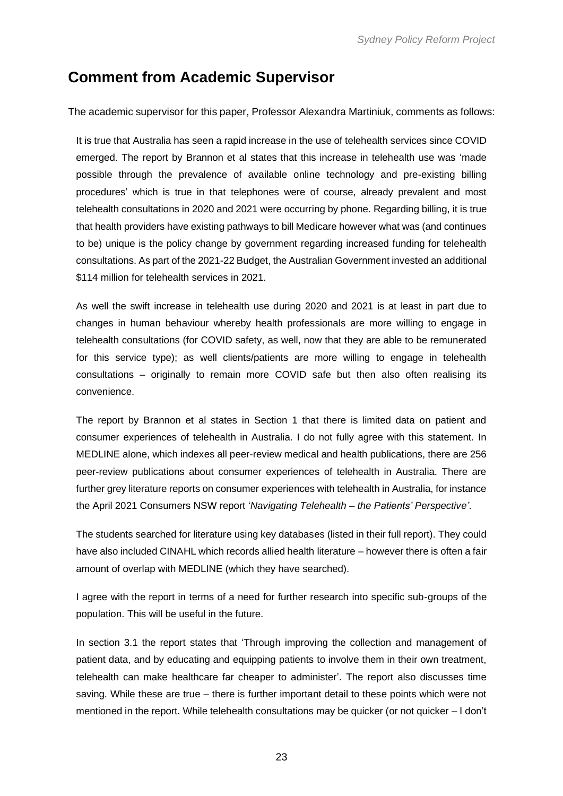### <span id="page-24-0"></span>**Comment from Academic Supervisor**

The academic supervisor for this paper, Professor Alexandra Martiniuk, comments as follows:

It is true that Australia has seen a rapid increase in the use of telehealth services since COVID emerged. The report by Brannon et al states that this increase in telehealth use was 'made possible through the prevalence of available online technology and pre-existing billing procedures' which is true in that telephones were of course, already prevalent and most telehealth consultations in 2020 and 2021 were occurring by phone. Regarding billing, it is true that health providers have existing pathways to bill Medicare however what was (and continues to be) unique is the policy change by government regarding increased funding for telehealth consultations. As part of the 2021-22 Budget, the Australian Government invested an additional \$114 million for telehealth services in 2021.

As well the swift increase in telehealth use during 2020 and 2021 is at least in part due to changes in human behaviour whereby health professionals are more willing to engage in telehealth consultations (for COVID safety, as well, now that they are able to be remunerated for this service type); as well clients/patients are more willing to engage in telehealth consultations – originally to remain more COVID safe but then also often realising its convenience.

The report by Brannon et al states in Section 1 that there is limited data on patient and consumer experiences of telehealth in Australia. I do not fully agree with this statement. In MEDLINE alone, which indexes all peer-review medical and health publications, there are 256 peer-review publications about consumer experiences of telehealth in Australia. There are further grey literature reports on consumer experiences with telehealth in Australia, for instance the April 2021 Consumers NSW report '*Navigating Telehealth – the Patients' Perspective'*.

The students searched for literature using key databases (listed in their full report). They could have also included CINAHL which records allied health literature – however there is often a fair amount of overlap with MEDLINE (which they have searched).

I agree with the report in terms of a need for further research into specific sub-groups of the population. This will be useful in the future.

In section 3.1 the report states that 'Through improving the collection and management of patient data, and by educating and equipping patients to involve them in their own treatment, telehealth can make healthcare far cheaper to administer'. The report also discusses time saving. While these are true – there is further important detail to these points which were not mentioned in the report. While telehealth consultations may be quicker (or not quicker – I don't